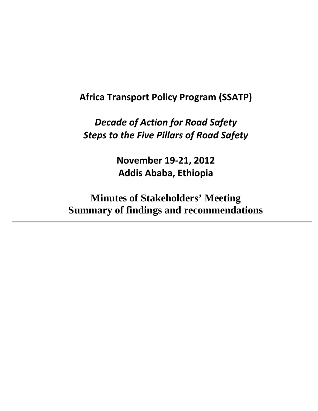# **Africa Transport Policy Program (SSATP)**

*Decade of Action for Road Safety Steps to the Five Pillars of Road Safety*

> **November 19-21, 2012 Addis Ababa, Ethiopia**

**Minutes of Stakeholders' Meeting Summary of findings and recommendations**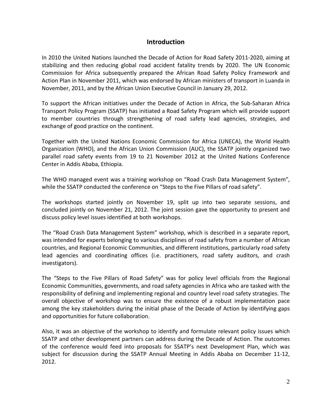## **Introduction**

In 2010 the United Nations launched the Decade of Action for Road Safety 2011-2020, aiming at stabilizing and then reducing global road accident fatality trends by 2020. The UN Economic Commission for Africa subsequently prepared the African Road Safety Policy Framework and Action Plan in November 2011, which was endorsed by African ministers of transport in Luanda in November, 2011, and by the African Union Executive Council in January 29, 2012.

To support the African initiatives under the Decade of Action in Africa, the Sub-Saharan Africa Transport Policy Program (SSATP) has initiated a Road Safety Program which will provide support to member countries through strengthening of road safety lead agencies, strategies, and exchange of good practice on the continent.

Together with the United Nations Economic Commission for Africa (UNECA), the World Health Organization (WHO), and the African Union Commission (AUC), the SSATP jointly organized two parallel road safety events from 19 to 21 November 2012 at the United Nations Conference Center in Addis Ababa, Ethiopia.

The WHO managed event was a training workshop on "Road Crash Data Management System", while the SSATP conducted the conference on "Steps to the Five Pillars of road safety".

The workshops started jointly on November 19, split up into two separate sessions, and concluded jointly on November 21, 2012. The joint session gave the opportunity to present and discuss policy level issues identified at both workshops.

The "Road Crash Data Management System" workshop, which is described in a separate report, was intended for experts belonging to various disciplines of road safety from a number of African countries, and Regional Economic Communities, and different institutions, particularly road safety lead agencies and coordinating offices (i.e. practitioners, road safety auditors, and crash investigators).

The "Steps to the Five Pillars of Road Safety" was for policy level officials from the Regional Economic Communities, governments, and road safety agencies in Africa who are tasked with the responsibility of defining and implementing regional and country level road safety strategies. The overall objective of workshop was to ensure the existence of a robust implementation pace among the key stakeholders during the initial phase of the Decade of Action by identifying gaps and opportunities for future collaboration.

Also, it was an objective of the workshop to identify and formulate relevant policy issues which SSATP and other development partners can address during the Decade of Action. The outcomes of the conference would feed into proposals for SSATP's next Development Plan, which was subject for discussion during the SSATP Annual Meeting in Addis Ababa on December 11-12, 2012.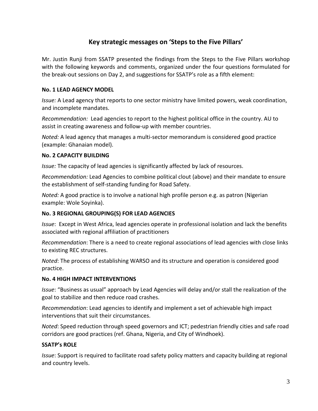# **Key strategic messages on 'Steps to the Five Pillars'**

Mr. Justin Runji from SSATP presented the findings from the Steps to the Five Pillars workshop with the following keywords and comments, organized under the four questions formulated for the break-out sessions on Day 2, and suggestions for SSATP's role as a fifth element:

#### **No. 1 LEAD AGENCY MODEL**

*Issue:* A Lead agency that reports to one sector ministry have limited powers, weak coordination, and incomplete mandates.

*Recommendation:* Lead agencies to report to the highest political office in the country. AU to assist in creating awareness and follow-up with member countries.

*Noted:* A lead agency that manages a multi-sector memorandum is considered good practice (example: Ghanaian model).

#### **No. 2 CAPACITY BUILDING**

*Issue:* The capacity of lead agencies is significantly affected by lack of resources.

*Recommendation:* Lead Agencies to combine political clout (above) and their mandate to ensure the establishment of self-standing funding for Road Safety.

*Noted:* A good practice is to involve a national high profile person e.g. as patron (Nigerian example: Wole Soyinka).

## **No. 3 REGIONAL GROUPING(S) FOR LEAD AGENCIES**

*Issue*: Except in West Africa, lead agencies operate in professional isolation and lack the benefits associated with regional affiliation of practitioners

*Recommendation*: There is a need to create regional associations of lead agencies with close links to existing REC structures.

*Noted*: The process of establishing WARSO and its structure and operation is considered good practice.

#### **No. 4 HIGH IMPACT INTERVENTIONS**

*Issue*: "Business as usual" approach by Lead Agencies will delay and/or stall the realization of the goal to stabilize and then reduce road crashes.

*Recommendation*: Lead agencies to identify and implement a set of achievable high impact interventions that suit their circumstances.

*Noted*: Speed reduction through speed governors and ICT; pedestrian friendly cities and safe road corridors are good practices (ref. Ghana, Nigeria, and City of Windhoek).

## **SSATP's ROLE**

*Issue*: Support is required to facilitate road safety policy matters and capacity building at regional and country levels.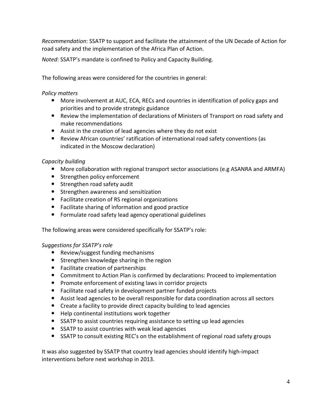*Recommendation*: SSATP to support and facilitate the attainment of the UN Decade of Action for road safety and the implementation of the Africa Plan of Action.

*Noted*: SSATP's mandate is confined to Policy and Capacity Building.

The following areas were considered for the countries in general:

## *Policy matters*

- More involvement at AUC, ECA, RECs and countries in identification of policy gaps and priorities and to provide strategic guidance
- Review the implementation of declarations of Ministers of Transport on road safety and make recommendations
- Assist in the creation of lead agencies where they do not exist
- Review African countries' ratification of international road safety conventions (as indicated in the Moscow declaration)

## *Capacity building*

- More collaboration with regional transport sector associations (e.g ASANRA and ARMFA)
- Strengthen policy enforcement
- Strengthen road safety audit
- **•** Strengthen awareness and sensitization
- Facilitate creation of RS regional organizations
- Facilitate sharing of information and good practice
- Formulate road safety lead agency operational guidelines

The following areas were considered specifically for SSATP's role:

## *Suggestions for SSATP's role*

- Review/suggest funding mechanisms
- Strengthen knowledge sharing in the region
- Facilitate creation of partnerships
- Commitment to Action Plan is confirmed by declarations: Proceed to implementation
- Promote enforcement of existing laws in corridor projects
- Facilitate road safety in development partner funded projects
- Assist lead agencies to be overall responsible for data coordination across all sectors
- Create a facility to provide direct capacity building to lead agencies
- Help continental institutions work together
- SSATP to assist countries requiring assistance to setting up lead agencies
- SSATP to assist countries with weak lead agencies
- SSATP to consult existing REC's on the establishment of regional road safety groups

It was also suggested by SSATP that country lead agencies should identify high-impact interventions before next workshop in 2013.